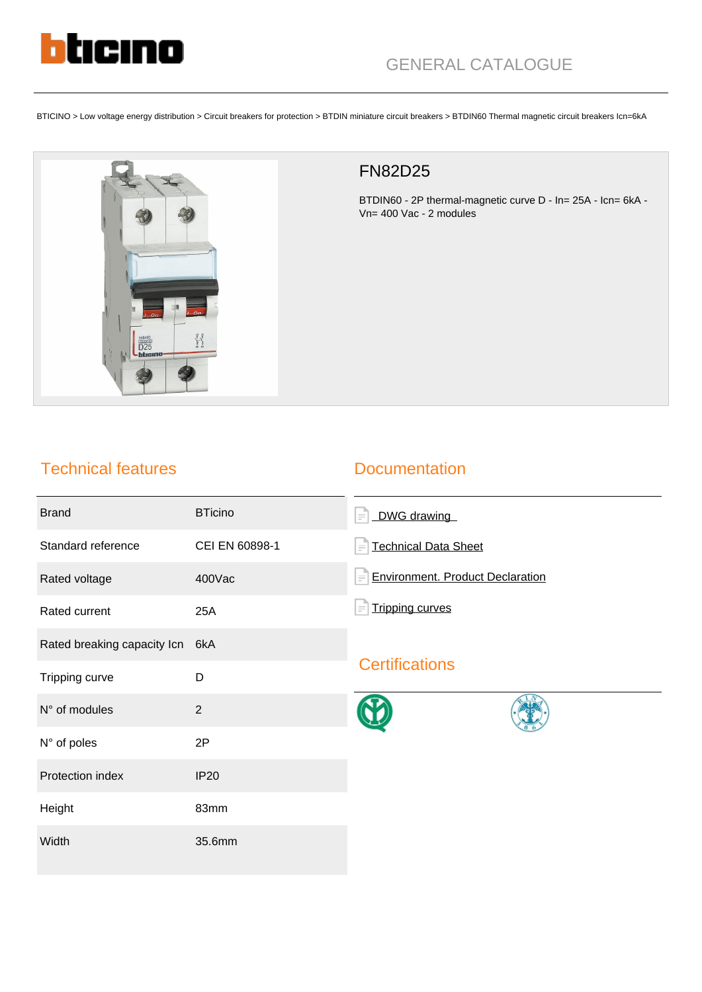

BTICINO > Low voltage energy distribution > Circuit breakers for protection > BTDIN miniature circuit breakers > BTDIN60 Thermal magnetic circuit breakers Icn=6kA



# FN82D25

BTDIN60 - 2P thermal-magnetic curve D - In= 25A - Icn= 6kA - Vn= 400 Vac - 2 modules

## Technical features

### **Documentation**

| <b>Brand</b>                | <b>BTicino</b> | DWG drawing<br>$\equiv$                             |
|-----------------------------|----------------|-----------------------------------------------------|
| Standard reference          | CEI EN 60898-1 | <b>Technical Data Sheet</b><br>$\equiv$             |
| Rated voltage               | 400Vac         | <b>Environment. Product Declaration</b><br>$\equiv$ |
| Rated current               | 25A            | <b>Tripping curves</b>                              |
| Rated breaking capacity Icn | 6kA            | <b>Certifications</b>                               |
| Tripping curve              | D              |                                                     |
| N° of modules               | $\overline{2}$ |                                                     |
| N° of poles                 | 2P             |                                                     |
| Protection index            | <b>IP20</b>    |                                                     |
| Height                      | 83mm           |                                                     |
| Width                       | 35.6mm         |                                                     |